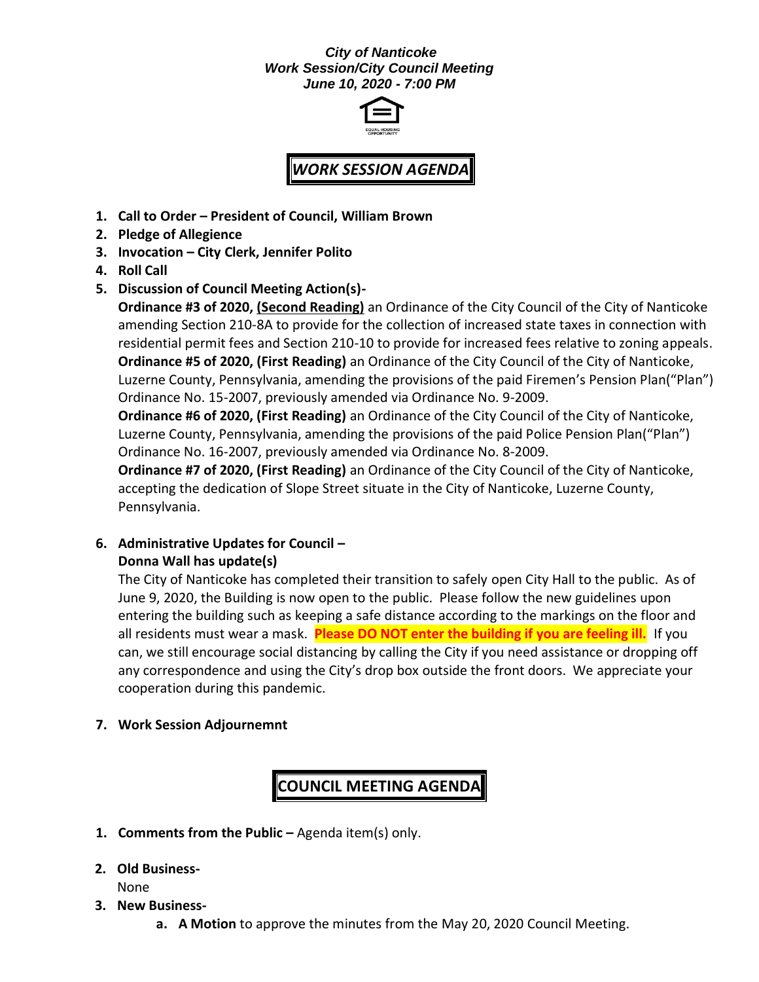#### *City of Nanticoke Work Session/City Council Meeting June 10, 2020 - 7:00 PM*



# *WORK SESSION AGENDA*

- **1. Call to Order – President of Council, William Brown**
- **2. Pledge of Allegience**
- **3. Invocation – City Clerk, Jennifer Polito**
- **4. Roll Call**
- **5. Discussion of Council Meeting Action(s)-**

**Ordinance #3 of 2020, (Second Reading)** an Ordinance of the City Council of the City of Nanticoke amending Section 210-8A to provide for the collection of increased state taxes in connection with residential permit fees and Section 210-10 to provide for increased fees relative to zoning appeals. **Ordinance #5 of 2020, (First Reading)** an Ordinance of the City Council of the City of Nanticoke, Luzerne County, Pennsylvania, amending the provisions of the paid Firemen's Pension Plan("Plan") Ordinance No. 15-2007, previously amended via Ordinance No. 9-2009.

**Ordinance #6 of 2020, (First Reading)** an Ordinance of the City Council of the City of Nanticoke, Luzerne County, Pennsylvania, amending the provisions of the paid Police Pension Plan("Plan") Ordinance No. 16-2007, previously amended via Ordinance No. 8-2009.

**Ordinance #7 of 2020, (First Reading)** an Ordinance of the City Council of the City of Nanticoke, accepting the dedication of Slope Street situate in the City of Nanticoke, Luzerne County, Pennsylvania.

### **6. Administrative Updates for Council – Donna Wall has update(s)**

The City of Nanticoke has completed their transition to safely open City Hall to the public. As of June 9, 2020, the Building is now open to the public. Please follow the new guidelines upon entering the building such as keeping a safe distance according to the markings on the floor and all residents must wear a mask. **Please DO NOT enter the building if you are feeling ill.** If you can, we still encourage social distancing by calling the City if you need assistance or dropping off any correspondence and using the City's drop box outside the front doors. We appreciate your cooperation during this pandemic.

**7. Work Session Adjournemnt**

## **COUNCIL MEETING AGENDA**

- **1. Comments from the Public –** Agenda item(s) only.
- **2. Old Business-**

None

- **3. New Business**
	- **a. A Motion** to approve the minutes from the May 20, 2020 Council Meeting.